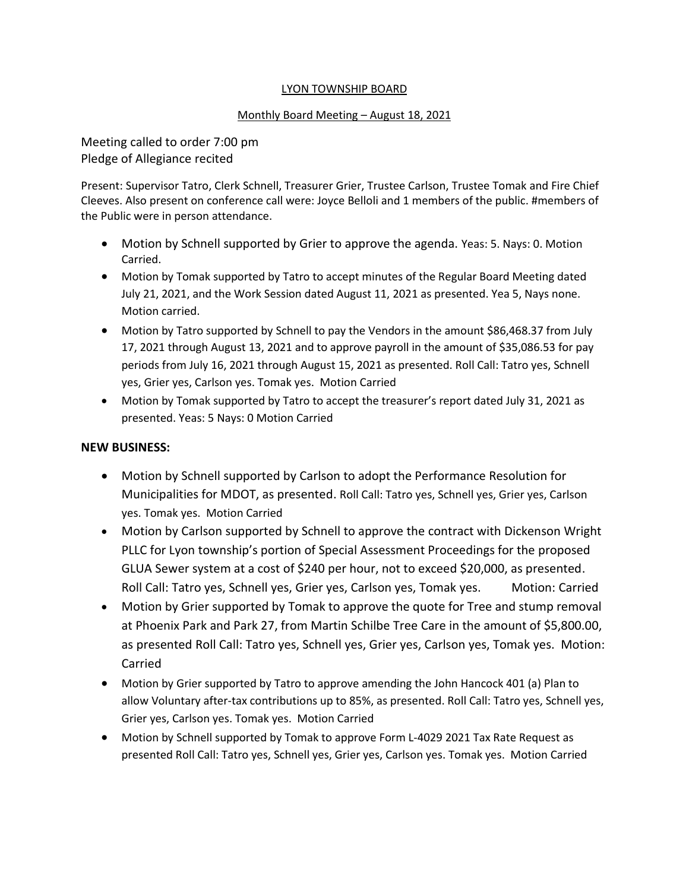### LYON TOWNSHIP BOARD

#### Monthly Board Meeting – August 18, 2021

Meeting called to order 7:00 pm Pledge of Allegiance recited

Present: Supervisor Tatro, Clerk Schnell, Treasurer Grier, Trustee Carlson, Trustee Tomak and Fire Chief Cleeves. Also present on conference call were: Joyce Belloli and 1 members of the public. #members of the Public were in person attendance.

- Motion by Schnell supported by Grier to approve the agenda. Yeas: 5. Nays: 0. Motion Carried.
- Motion by Tomak supported by Tatro to accept minutes of the Regular Board Meeting dated July 21, 2021, and the Work Session dated August 11, 2021 as presented. Yea 5, Nays none. Motion carried.
- Motion by Tatro supported by Schnell to pay the Vendors in the amount \$86,468.37 from July 17, 2021 through August 13, 2021 and to approve payroll in the amount of \$35,086.53 for pay periods from July 16, 2021 through August 15, 2021 as presented. Roll Call: Tatro yes, Schnell yes, Grier yes, Carlson yes. Tomak yes. Motion Carried
- Motion by Tomak supported by Tatro to accept the treasurer's report dated July 31, 2021 as presented. Yeas: 5 Nays: 0 Motion Carried

### **NEW BUSINESS:**

- Motion by Schnell supported by Carlson to adopt the Performance Resolution for Municipalities for MDOT, as presented. Roll Call: Tatro yes, Schnell yes, Grier yes, Carlson yes. Tomak yes. Motion Carried
- Motion by Carlson supported by Schnell to approve the contract with Dickenson Wright PLLC for Lyon township's portion of Special Assessment Proceedings for the proposed GLUA Sewer system at a cost of \$240 per hour, not to exceed \$20,000, as presented. Roll Call: Tatro yes, Schnell yes, Grier yes, Carlson yes, Tomak yes. Motion: Carried
- Motion by Grier supported by Tomak to approve the quote for Tree and stump removal at Phoenix Park and Park 27, from Martin Schilbe Tree Care in the amount of \$5,800.00, as presented Roll Call: Tatro yes, Schnell yes, Grier yes, Carlson yes, Tomak yes. Motion: Carried
- Motion by Grier supported by Tatro to approve amending the John Hancock 401 (a) Plan to allow Voluntary after-tax contributions up to 85%, as presented. Roll Call: Tatro yes, Schnell yes, Grier yes, Carlson yes. Tomak yes. Motion Carried
- Motion by Schnell supported by Tomak to approve Form L-4029 2021 Tax Rate Request as presented Roll Call: Tatro yes, Schnell yes, Grier yes, Carlson yes. Tomak yes. Motion Carried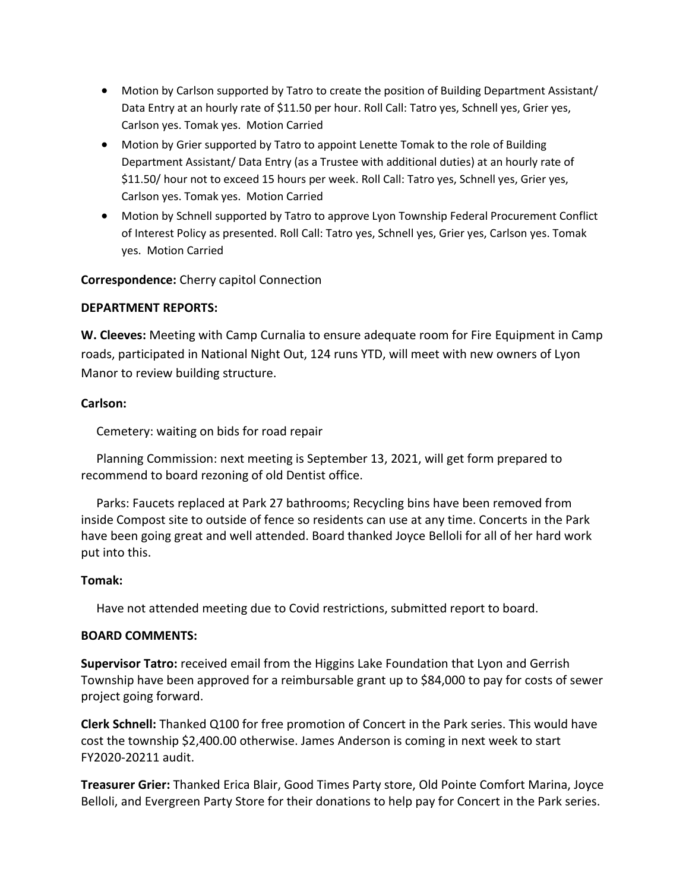- Motion by Carlson supported by Tatro to create the position of Building Department Assistant/ Data Entry at an hourly rate of \$11.50 per hour. Roll Call: Tatro yes, Schnell yes, Grier yes, Carlson yes. Tomak yes. Motion Carried
- Motion by Grier supported by Tatro to appoint Lenette Tomak to the role of Building Department Assistant/ Data Entry (as a Trustee with additional duties) at an hourly rate of \$11.50/ hour not to exceed 15 hours per week. Roll Call: Tatro yes, Schnell yes, Grier yes, Carlson yes. Tomak yes. Motion Carried
- Motion by Schnell supported by Tatro to approve Lyon Township Federal Procurement Conflict of Interest Policy as presented. Roll Call: Tatro yes, Schnell yes, Grier yes, Carlson yes. Tomak yes. Motion Carried

# **Correspondence:** Cherry capitol Connection

### **DEPARTMENT REPORTS:**

**W. Cleeves:** Meeting with Camp Curnalia to ensure adequate room for Fire Equipment in Camp roads, participated in National Night Out, 124 runs YTD, will meet with new owners of Lyon Manor to review building structure.

# **Carlson:**

Cemetery: waiting on bids for road repair

 Planning Commission: next meeting is September 13, 2021, will get form prepared to recommend to board rezoning of old Dentist office.

 Parks: Faucets replaced at Park 27 bathrooms; Recycling bins have been removed from inside Compost site to outside of fence so residents can use at any time. Concerts in the Park have been going great and well attended. Board thanked Joyce Belloli for all of her hard work put into this.

### **Tomak:**

Have not attended meeting due to Covid restrictions, submitted report to board.

### **BOARD COMMENTS:**

**Supervisor Tatro:** received email from the Higgins Lake Foundation that Lyon and Gerrish Township have been approved for a reimbursable grant up to \$84,000 to pay for costs of sewer project going forward.

**Clerk Schnell:** Thanked Q100 for free promotion of Concert in the Park series. This would have cost the township \$2,400.00 otherwise. James Anderson is coming in next week to start FY2020-20211 audit.

**Treasurer Grier:** Thanked Erica Blair, Good Times Party store, Old Pointe Comfort Marina, Joyce Belloli, and Evergreen Party Store for their donations to help pay for Concert in the Park series.